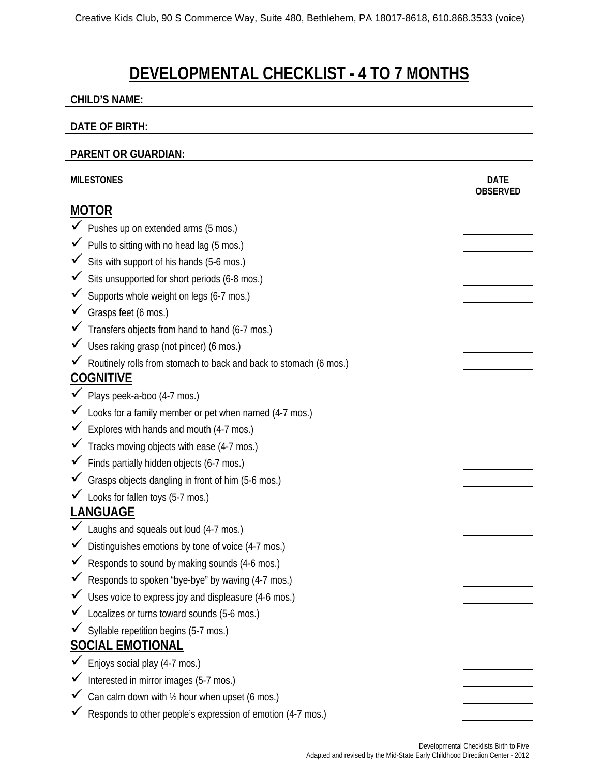# **DEVELOPMENTAL CHECKLIST - 4 TO 7 MONTHS**

#### **CHILD'S NAME:**

#### **DATE OF BIRTH:**

#### **PARENT OR GUARDIAN:**

| <b>MILESTONES</b> |                                                                   | <b>DATE</b><br><b>OBSERVED</b> |
|-------------------|-------------------------------------------------------------------|--------------------------------|
| <b>MOTOR</b>      |                                                                   |                                |
|                   | ◆ Pushes up on extended arms (5 mos.)                             |                                |
|                   | Pulls to sitting with no head lag (5 mos.)                        |                                |
|                   | Sits with support of his hands (5-6 mos.)                         |                                |
|                   | Sits unsupported for short periods (6-8 mos.)                     |                                |
|                   | Supports whole weight on legs (6-7 mos.)                          |                                |
|                   | $\checkmark$ Grasps feet (6 mos.)                                 |                                |
|                   | Transfers objects from hand to hand (6-7 mos.)                    |                                |
|                   | Uses raking grasp (not pincer) (6 mos.)                           |                                |
|                   | Routinely rolls from stomach to back and back to stomach (6 mos.) |                                |
| <b>COGNITIVE</b>  |                                                                   |                                |
|                   | $\checkmark$ Plays peek-a-boo (4-7 mos.)                          |                                |
|                   | Looks for a family member or pet when named (4-7 mos.)            |                                |
|                   | Explores with hands and mouth (4-7 mos.)                          |                                |
|                   | Tracks moving objects with ease (4-7 mos.)                        |                                |
| $\checkmark$      | Finds partially hidden objects (6-7 mos.)                         |                                |
|                   | Grasps objects dangling in front of him (5-6 mos.)                |                                |
|                   | ► Looks for fallen toys (5-7 mos.)                                |                                |
| <b>LANGUAGE</b>   |                                                                   |                                |
|                   | Laughs and squeals out loud (4-7 mos.)                            |                                |
|                   | Distinguishes emotions by tone of voice (4-7 mos.)                |                                |
|                   | Responds to sound by making sounds (4-6 mos.)                     |                                |
|                   | Responds to spoken "bye-bye" by waving (4-7 mos.)                 |                                |
|                   | V Uses voice to express joy and displeasure (4-6 mos.)            |                                |
|                   | Localizes or turns toward sounds (5-6 mos.)                       |                                |
|                   | Syllable repetition begins (5-7 mos.)                             |                                |
|                   | <b>SOCIAL EMOTIONAL</b>                                           |                                |
|                   | Enjoys social play (4-7 mos.)                                     |                                |
|                   | Interested in mirror images (5-7 mos.)                            |                                |
|                   | Can calm down with 1/2 hour when upset (6 mos.)                   |                                |
|                   | Responds to other people's expression of emotion (4-7 mos.)       |                                |